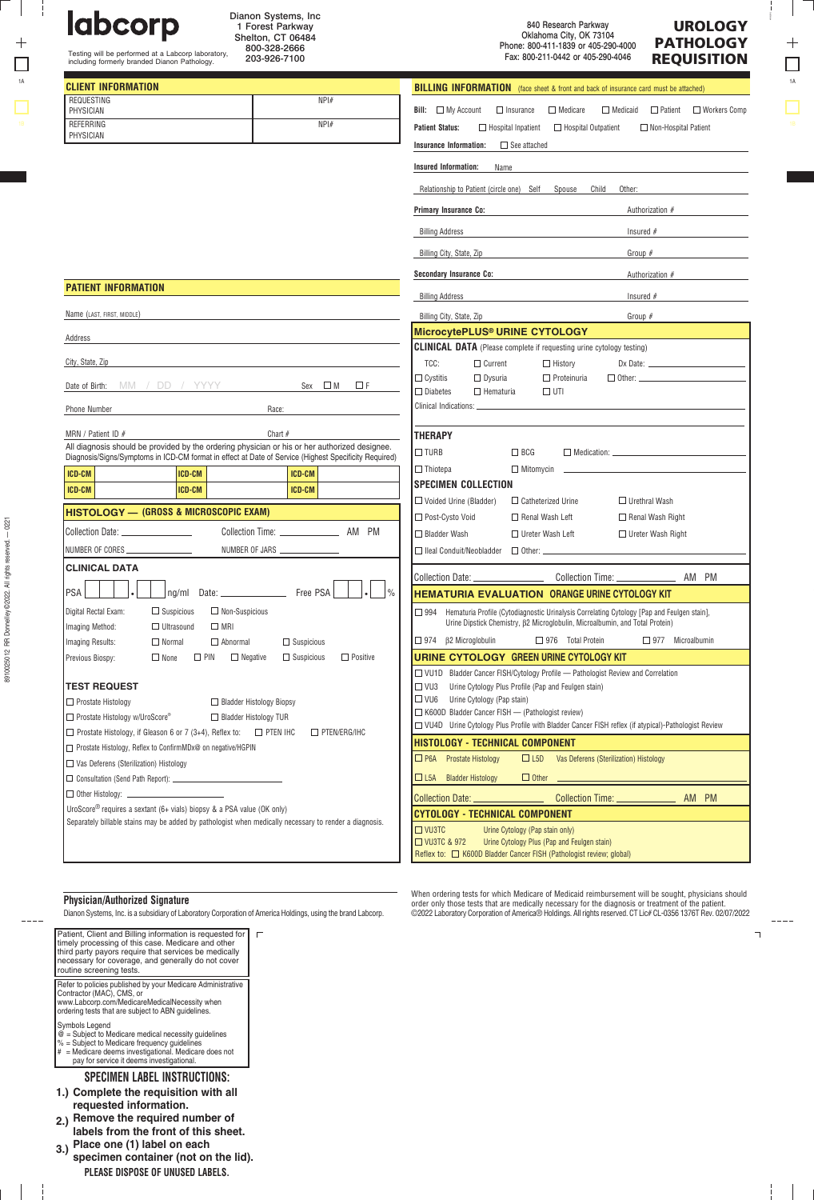$^{+}$  $\Box$ 

÷

labcorp

REQUESTING PHYSICIAN **REFERRING** PHYSICIAN

|    | Dianon Systems, Inc.<br><b>labcorp</b><br>Forest Parkway<br>Shelton, CT 06484<br>800-328-2666<br>Testing will be performed at a Labcorp laboratory,<br>203-926-7100<br>including formerly branded Dianon Pathology. |      | <b>UROLOGY</b><br>840 Research Parkway<br>Oklahoma City, OK 73104<br><b>PATHOLOGY</b><br>Phone: 800-411-1839 or 405-290-4000<br>Fax: 800-211-0442 or 405-290-4046<br><b>REQUISITION</b> |                                                                                             |  |  |  |  |                                                    |    |
|----|---------------------------------------------------------------------------------------------------------------------------------------------------------------------------------------------------------------------|------|-----------------------------------------------------------------------------------------------------------------------------------------------------------------------------------------|---------------------------------------------------------------------------------------------|--|--|--|--|----------------------------------------------------|----|
| 1A | <b>CLIENT INFORMATION</b>                                                                                                                                                                                           |      |                                                                                                                                                                                         | <b>BILLING INFORMATION</b> (face sheet & front and back of insurance card must be attached) |  |  |  |  |                                                    | 1A |
|    | REQUESTING<br>PHYSICIAN                                                                                                                                                                                             | NPH# | Bill:                                                                                                                                                                                   | $\Box$ My Account $\Box$ Insurance $\Box$ Medicare                                          |  |  |  |  | $\Box$ Medicaid $\Box$ Patient $\Box$ Workers Comp |    |

 $\Box$  Hospital Outpatient  $\Box$  Non-Hospital Patient

| . <i>. .</i>                                  |                                                                                                       |                                      |                                      |                                    | <b>Insurance Information:</b> |                                                                             | $\Box$ See attached    |                                  |                         |                                                                                                     |                         |
|-----------------------------------------------|-------------------------------------------------------------------------------------------------------|--------------------------------------|--------------------------------------|------------------------------------|-------------------------------|-----------------------------------------------------------------------------|------------------------|----------------------------------|-------------------------|-----------------------------------------------------------------------------------------------------|-------------------------|
|                                               |                                                                                                       |                                      |                                      |                                    | <b>Insured Information:</b>   | Name                                                                        |                        |                                  |                         |                                                                                                     |                         |
|                                               |                                                                                                       |                                      |                                      |                                    |                               | Relationship to Patient (circle one) Self                                   |                        | Spouse                           | Child                   | Other:                                                                                              |                         |
|                                               |                                                                                                       |                                      |                                      |                                    | <b>Primary Insurance Co:</b>  |                                                                             |                        |                                  |                         | Authorization #                                                                                     |                         |
|                                               |                                                                                                       |                                      |                                      |                                    | <b>Billing Address</b>        |                                                                             |                        |                                  |                         | Insured $#$                                                                                         |                         |
|                                               |                                                                                                       |                                      |                                      |                                    | Billing City, State, Zip      |                                                                             |                        |                                  |                         | Group $#$                                                                                           |                         |
|                                               |                                                                                                       |                                      |                                      |                                    |                               | <b>Secondary Insurance Co:</b>                                              |                        |                                  |                         | Authorization #                                                                                     |                         |
| <b>PATIENT INFORMATION</b>                    |                                                                                                       |                                      |                                      |                                    |                               |                                                                             |                        |                                  |                         |                                                                                                     |                         |
|                                               |                                                                                                       |                                      |                                      |                                    | <b>Billing Address</b>        |                                                                             |                        |                                  |                         | Insured $#$                                                                                         |                         |
| Name (LAST, FIRST, MIDDLE)                    |                                                                                                       |                                      |                                      |                                    | Billing City, State, Zip      |                                                                             |                        |                                  |                         | Group $#$                                                                                           |                         |
| Address                                       |                                                                                                       |                                      |                                      |                                    |                               | MicrocytePLUS® URINE CYTOLOGY                                               |                        |                                  |                         |                                                                                                     |                         |
|                                               |                                                                                                       |                                      |                                      |                                    |                               | <b>CLINICAL DATA</b> (Please complete if requesting urine cytology testing) |                        |                                  |                         |                                                                                                     |                         |
| City, State, Zip                              |                                                                                                       |                                      |                                      | TCC:                               |                               | $\Box$ Current                                                              |                        | $\Box$ History                   |                         | $Dx$ Date: $\qquad \qquad$                                                                          |                         |
|                                               | Date of Birth: MM / DD / YYYY                                                                         |                                      | $Sex \square M$<br>ΠF                | $\Box$ Cystitis<br>$\Box$ Diabetes |                               | $\Box$ Dysuria<br>$\Box$ Hematuria                                          |                        | $\Box$ Proteinuria<br>$\Box$ UTI |                         |                                                                                                     |                         |
| <b>Phone Number</b>                           |                                                                                                       | Race:                                |                                      |                                    |                               |                                                                             |                        |                                  |                         |                                                                                                     |                         |
| MRN / Patient ID $#$                          |                                                                                                       | Chart $#$                            |                                      |                                    |                               |                                                                             |                        |                                  |                         |                                                                                                     |                         |
|                                               | All diagnosis should be provided by the ordering physician or his or her authorized designee.         |                                      |                                      | <b>THERAPY</b>                     |                               |                                                                             |                        |                                  |                         |                                                                                                     |                         |
|                                               | Diagnosis/Signs/Symptoms in ICD-CM format in effect at Date of Service (Highest Specificity Required) |                                      |                                      | $\square$ turb                     |                               |                                                                             | $\Box$ BCG             |                                  |                         |                                                                                                     |                         |
| ICD-CM                                        | <b>ICD-CM</b>                                                                                         |                                      | ICD-CM                               | $\Box$ Thiotepa                    |                               |                                                                             | $\Box$ Mitomycin       |                                  |                         |                                                                                                     |                         |
| ICD-CM                                        | ICD-CM                                                                                                |                                      | ICD-CM                               |                                    |                               | <b>SPECIMEN COLLECTION</b>                                                  |                        |                                  |                         |                                                                                                     |                         |
|                                               | <b>HISTOLOGY - (GROSS &amp; MICROSCOPIC EXAM)</b>                                                     |                                      |                                      |                                    |                               | $\Box$ Voided Urine (Bladder)                                               |                        | $\Box$ Catheterized Urine        |                         | $\Box$ Urethral Wash                                                                                |                         |
|                                               |                                                                                                       |                                      |                                      |                                    | □ Post-Cysto Void             |                                                                             |                        | $\Box$ Renal Wash Left           |                         | $\Box$ Renal Wash Right                                                                             |                         |
| Collection Date: ________________             |                                                                                                       |                                      |                                      |                                    | $\Box$ Bladder Wash           |                                                                             |                        | $\Box$ Ureter Wash Left          |                         | $\Box$ Ureter Wash Right                                                                            |                         |
| NUMBER OF CORES                               |                                                                                                       | NUMBER OF JARS <b>MUMBER OF JARS</b> |                                      |                                    |                               | $\Box$ Ileal Conduit/Neobladder                                             |                        |                                  |                         |                                                                                                     |                         |
| <b>CLINICAL DATA</b>                          |                                                                                                       |                                      |                                      |                                    | Collection Date:              |                                                                             |                        |                                  |                         | Collection Time: <u>_________________</u>                                                           | AM PM                   |
| PSA                                           | nq/ml                                                                                                 | Date: Free PSA                       |                                      | $\frac{0}{0}$                      |                               |                                                                             |                        |                                  |                         | <b>HEMATURIA EVALUATION ORANGE URINE CYTOLOGY KIT</b>                                               |                         |
| Digital Rectal Exam:                          | $\Box$ Suspicious                                                                                     | $\Box$ Non-Suspicious                |                                      | □ 994                              |                               |                                                                             |                        |                                  |                         | Hematuria Profile (Cytodiagnostic Urinalysis Correlating Cytology [Pap and Feulgen stain],          |                         |
| Imaging Method:                               | $\Box$ Ultrasound<br>$\Box$ MRI                                                                       |                                      |                                      |                                    |                               |                                                                             |                        |                                  |                         | Urine Dipstick Chemistry, 62 Microglobulin, Microalbumin, and Total Protein)                        |                         |
| Imaging Results:                              | $\Box$ Normal                                                                                         | $\Box$ Abnormal                      | $\Box$ Suspicious                    |                                    |                               | $\Box$ 974 $\beta$ 2 Microglobulin                                          |                        | $\Box$ 976 Total Protein         |                         |                                                                                                     | $\Box$ 977 Microalbumin |
| Previous Biospy:                              | $\Box$ PIN<br>$\Box$ None                                                                             | $\Box$ Negative                      | $\Box$ Positive<br>$\Box$ Suspicious |                                    |                               | URINE CYTOLOGY GREEN URINE CYTOLOGY KIT                                     |                        |                                  |                         |                                                                                                     |                         |
|                                               |                                                                                                       |                                      |                                      |                                    |                               |                                                                             |                        |                                  |                         | □ VU1D Bladder Cancer FISH/Cytology Profile - Pathologist Review and Correlation                    |                         |
| <b>TEST REQUEST</b>                           |                                                                                                       |                                      |                                      | $\square$ VU3                      |                               | Urine Cytology Plus Profile (Pap and Feulgen stain)                         |                        |                                  |                         |                                                                                                     |                         |
| $\Box$ Prostate Histology                     |                                                                                                       | □ Bladder Histology Biopsy           |                                      | $\square$ VU6                      |                               | Urine Cytology (Pap stain)                                                  |                        |                                  |                         |                                                                                                     |                         |
| □ Prostate Histology w/UroScore®              |                                                                                                       | □ Bladder Histology TUR              |                                      |                                    |                               | $\Box$ K600D Bladder Cancer FISH $-$ (Pathologist review)                   |                        |                                  |                         | □ VU4D Urine Cytology Plus Profile with Bladder Cancer FISH reflex (if atypical)-Pathologist Review |                         |
|                                               | $\Box$ Prostate Histology, if Gleason 6 or 7 (3+4), Reflex to:                                        | $\Box$ PTEN IHC                      | $\Box$ PTEN/ERG/IHC                  |                                    |                               |                                                                             |                        |                                  |                         |                                                                                                     |                         |
|                                               | □ Prostate Histology, Reflex to ConfirmMDx@ on negative/HGPIN                                         |                                      |                                      |                                    |                               | <b>HISTOLOGY - TECHNICAL COMPONENT</b>                                      |                        |                                  |                         |                                                                                                     |                         |
| $\Box$ Vas Deferens (Sterilization) Histology |                                                                                                       |                                      |                                      |                                    |                               | $\Box$ P6A Prostate Histology                                               | $\Box$ L <sub>5D</sub> |                                  |                         | Vas Deferens (Sterilization) Histology                                                              |                         |
|                                               |                                                                                                       |                                      |                                      |                                    |                               | $\Box$ L5A Bladder Histology                                                | $\Box$ Other           |                                  |                         |                                                                                                     |                         |
| $\Box$ Other Histology: $\Box$                |                                                                                                       |                                      |                                      |                                    | <b>Collection Date:</b>       |                                                                             |                        |                                  | <b>Collection Time:</b> |                                                                                                     | AM PM                   |

**Bill:** My Account **Patient Status:**

 $\Box$ <br> <br> Hospital Inpatient

Dianon Systems, Inc 1 Forest Parkway Shelton, CT 06484 800-328-2666 203-926-7100

 $\overline{NP}$ 

UroScore® requires a sextant (6+ vials) biopsy & a PSA value (OK only)

|  |  |  | Separately billable stains may be added by pathologist when medically necessary to render a diagnosis. |  |  |  |  |
|--|--|--|--------------------------------------------------------------------------------------------------------|--|--|--|--|
|  |  |  |                                                                                                        |  |  |  |  |
|  |  |  |                                                                                                        |  |  |  |  |

## When ordering tests for which Medicare of Medicaid reimbursement will be sought, physicians should<br>Order only those tests that are medically necessary for the diagnosis or treatment of the patient.<br>Dianon Systems, Inc. is **Physician/Authorized Signature**<br>Dianon Systems, Inc. is a subsidiary of Laboratory Corporation of America Holdings, using the brand Labcorp.

**D** VU3TC □ VU3TC & 972

**CYTOLOGY - TECHNICAL COMPONENT**

Reflex to:  $\Box$  K600D Bladder Cancer FISH (Pathologist review; global)

Urine Cytology (Pap stain only) Urine Cytology Plus (Pap and Feulgen stain)

Patient, Client and Billing information is requested for timely processing of this case. Medicare and other third party payors require that services be medically necessary for coverage, and generally do not cover routine screening tests.

Refer to policies published by your Medicare Administrative Contractor (MAC), CMS, or www.Labcorp.com/MedicareMedicalNecessity when ordering tests that are subject to ABN guidelines.

Symbols Legend

- 
- @ = Subject to Medicare medical necessity guidelines % = Subject to Medicare frequency guidelines # = Medicare deems investigational. Medicare does not pay for service it deems investigational.
- 

## **SPECIMEN LABEL INSTRUCTIONS: Complete the requisition with all 1.)**

- **requested information.**
- **Remove the required number of labels from the front of this sheet. 2.)**
- **PLEASE DISPOSE OF UNUSED LABELS. Place one (1) label on each 3.) specimen container (not on the lid).**

 $\overline{\phantom{0}}$ 

AM PM